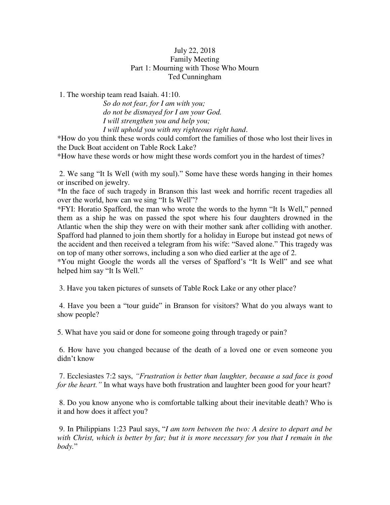## July 22, 2018 Family Meeting Part 1: Mourning with Those Who Mourn Ted Cunningham

1. The worship team read Isaiah. 41:10.

*So do not fear, for I am with you; do not be dismayed for I am your God. I will strengthen you and help you; I will uphold you with my righteous right hand*.

\*How do you think these words could comfort the families of those who lost their lives in the Duck Boat accident on Table Rock Lake?

\*How have these words or how might these words comfort you in the hardest of times?

 2. We sang "It Is Well (with my soul)." Some have these words hanging in their homes or inscribed on jewelry.

\*In the face of such tragedy in Branson this last week and horrific recent tragedies all over the world, how can we sing "It Is Well"?

\*FYI: Horatio Spafford, the man who wrote the words to the hymn "It Is Well," penned them as a ship he was on passed the spot where his four daughters drowned in the Atlantic when the ship they were on with their mother sank after colliding with another. Spafford had planned to join them shortly for a holiday in Europe but instead got news of the accident and then received a telegram from his wife: "Saved alone." This tragedy was on top of many other sorrows, including a son who died earlier at the age of 2.

\*You might Google the words all the verses of Spafford's "It Is Well" and see what helped him say "It Is Well."

3. Have you taken pictures of sunsets of Table Rock Lake or any other place?

4. Have you been a "tour guide" in Branson for visitors? What do you always want to show people?

5. What have you said or done for someone going through tragedy or pain?

 6. How have you changed because of the death of a loved one or even someone you didn't know

 7. Ecclesiastes 7:2 says, *"Frustration is better than laughter, because a sad face is good for the heart."* In what ways have both frustration and laughter been good for your heart?

 8. Do you know anyone who is comfortable talking about their inevitable death? Who is it and how does it affect you?

 9. In Philippians 1:23 Paul says, "*I am torn between the two: A desire to depart and be with Christ, which is better by far; but it is more necessary for you that I remain in the body.*"